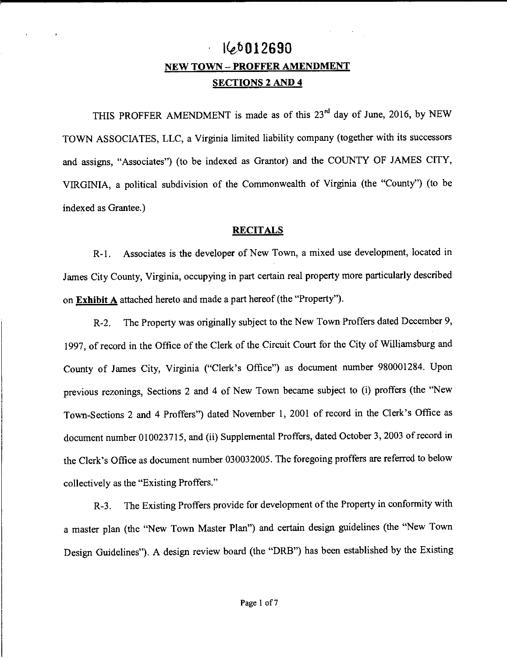# **l{e,f>Ol2690 NEW TOWN - PROFFER AMENDMENT SECTIONS 2 AND 4**

THIS PROFFER AMENDMENT is made as of this 23<sup>rd</sup> day of June, 2016, by NEW TOWN ASSOCIATES, LLC, a Virginia limited liability company (together with its successors and assigns, "Associates") (to be indexed as Grantor) and the COUNTY OF JAMES CITY, VIRGINIA, a political subdivision of the Commonwealth of Virginia (the "County") (to be indexed as Grantee.)

# **RECITALS**

R-1. Associates is the developer of New Town, a mixed use development, located in James City County, Virginia, occupying in part certain real property more particularly described on **Exhibit A** attached hereto and made a part hereof (the "Property").

R-2. The Property was originally subject to the New Town Proffers dated December 9, 1997, of record in the Office of the Clerk of the Circuit Court for the City of Williamsburg and County of James City, Virginia ("Clerk's Office") as document number 980001284. Upon previous rezonings, Sections 2 and 4 of New Town became subject to (i) proffers (the "New Town-Sections 2 and 4 Proffers") dated November I, 2001 of record in the Clerk's Office as document number 010023715, and (ii) Supplemental Proffers, dated October 3, 2003 of record in the Clerk's Office as document number 030032005. The foregoing proffers are referred to below collectively as the "Existing Proffers."

R-3. The Existing Proffers provide for development of the Property in conformity with a master plan (the "New Town Master Plan") and certain design guidelines (the "New Town Design Guidelines"). A design review board (the "DRB") has been established by the Existing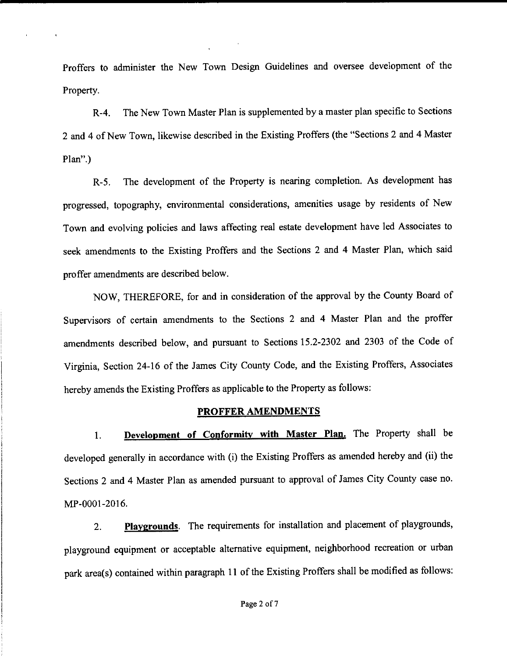Proffers to administer the New Town Design Guidelines and oversee development of the Property.

R-4. The New Town Master Plan is supplemented by a master plan specific to Sections 2 and 4 of New Town, likewise described in the Existing Proffers (the "Sections 2 and 4 Master Plan".)

R-5. The development of the Property is nearing completion. As development has progressed, topography, environmental considerations, amenities usage by residents of New Town and evolving policies and laws affecting real estate development have led Associates to seek amendments to the Existing Proffers and the Sections 2 and 4 Master Plan, which said proffer amendments are described below.

NOW, THEREFORE, for and in consideration of the approval by the County Board of Supervisors of certain amendments to the Sections 2 and 4 Master Plan and the proffer amendments described below, and pursuant to Sections 15.2-2302 and 2303 of the Code of Virginia, Section 24-16 of the James City County Code, and the Existing Proffers, Associates hereby amends the Existing Proffers as applicable to the Property as follows:

### **PROFFER AMENDMENTS**

I. **Development of Conformity with Master Plan.** The Property shall be developed generally in accordance with (i) the Existing Proffers as amended hereby and (ii) the Sections 2 and 4 Master Plan as amended pursuant to approval of James City County case no. MP-0001-2016.

2. **Playgrounds.** The requirements for installation and placement of playgrounds, playground equipment or acceptable alternative equipment, neighborhood recreation or urban park area(s) contained within paragraph 11 of the Existing Proffers shall be modified as follows: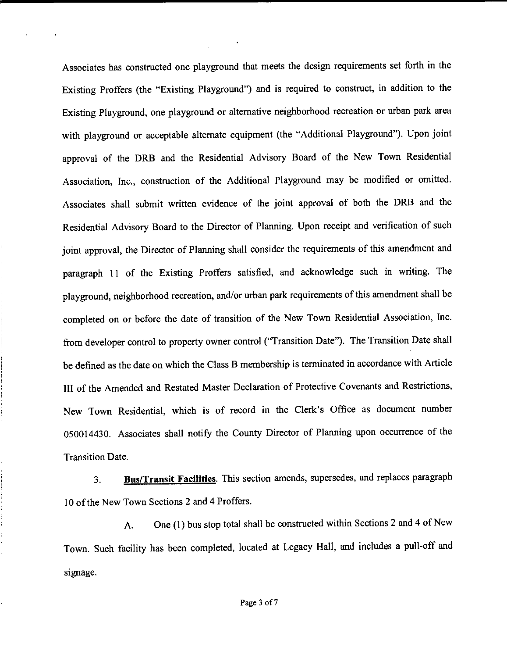Associates has constructed one playground that meets the design requirements set forth in the Existing Proffers (the "Existing Playground") and is required to construct, in addition to the Existing Playground, one playground or alternative neighborhood recreation or urban park area with playground or acceptable alternate equipment (the "Additional Playground"). Upon joint approval of the DRB and the Residential Advisory Board of the New Town Residential Association, Inc., construction of the Additional Playground may be modified or omitted. Associates shall submit written evidence of the joint approval of both the DRB and the Residential Advisory Board to the Director of Planning. Upon receipt and verification of such joint approval, the Director of Planning shall consider the requirements of this amendment and paragraph 11 of the Existing Proffers satisfied, and acknowledge such in writing. The playground, neighborhood recreation, and/or urban park requirements of this amendment shall be completed on or before the date of transition of the New Town Residential Association, Inc. from developer control to property owner control ("Transition Date"). The Transition Date shall be defined as the date on which the Class B membership is terminated in accordance with Article III of the Amended and Restated Master Declaration of Protective Covenants and Restrictions, New Town Residential, which is of record in the Clerk's Office as document number 050014430. Associates shall notify the County Director of Planning upon occurrence of the Transition Date.

3. **Bus/Transit Facilities.** This section amends, supersedes, and replaces paragraph 10 of the New Town Sections 2 and 4 Proffers.

A. One (1) bus stop total shall be constructed within Sections 2 and 4 of New Town. Such facility has been completed, located at Legacy Hall, and includes a pull-off and signage.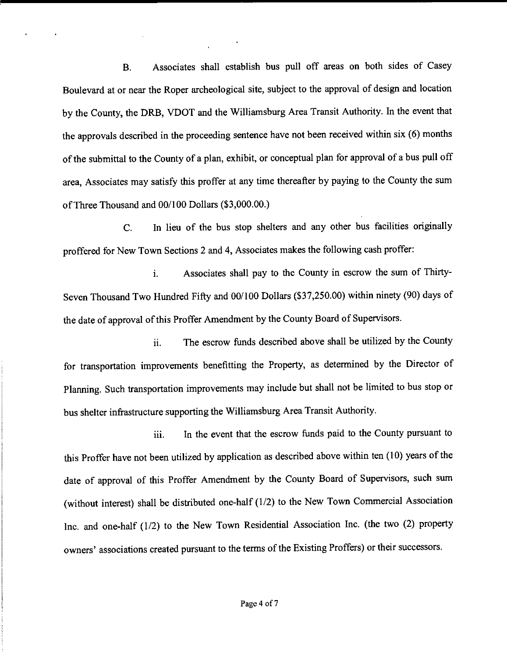B. Associates shall establish bus pull off areas on both sides of Casey Boulevard at or near the Roper archeological site, subject to the approval of design and location by the County, the DRB, VDOT and the Williamsburg Area Transit Authority. In the event that the approvals described in the proceeding sentence have not been received within six (6) months of the submittal to the County of a plan, exhibit, or conceptual plan for approval of a bus pull off area, Associates may satisfy this proffer at any time thereafter by paying to the County the sum of Three Thousand and 00/100 Dollars (\$3,000.00.)

C. In lieu of the bus stop shelters and any other bus facilities originally proffered for New Town Sections 2 and 4, Associates makes the following cash proffer:

1. Associates shall pay to the County in escrow the sum of Thirty-Seven Thousand Two Hundred Fifty and 00/100 Dollars (\$37,250.00) within ninety (90) days of the date of approval of this Proffer Amendment by the County Board of Supervisors.

ii. The escrow funds described above shall be utilized by the County for transportation improvements benefitting the Property, as determined by the Director of Planning. Such transportation improvements may include but shall not be limited to bus stop or bus shelter infrastructure supporting the Williamsburg Area Transit Authority.

iii. In the event that the escrow funds paid to the County pursuant to this Proffer have not been utilized by application as described above within ten (10) years of the date of approval of this Proffer Amendment by the County Board of Supervisors, such sum (without interest) shall be distributed one-half (1/2) to the New Town Commercial Association Inc. and one-half (1/2) to the New Town Residential Association Inc. (the two (2) property owners' associations created pursuant to the terms of the Existing Proffers) or their successors.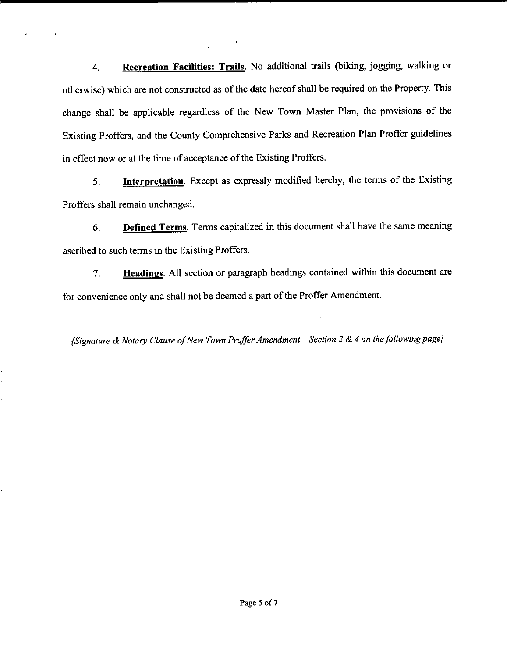4. **Recreation Facilities: Trails.** No additional trails (biking, jogging, walking or otherwise) which are not constructed as of the date hereof shall be required on the Property. This change shall be applicable regardless of the New Town Master Plan, the provisions of the Existing Proffers, and the County Comprehensive Parks and Recreation Plan Proffer guidelines in effect now or at the time of acceptance of the Existing Proffers.

5. **Interpretation.** Except as expressly modified hereby, the terms of the Existing Proffers shall remain unchanged.

6. **Defined Terms.** Terms capitalized in this document shall have the same meaning ascribed to such terms in the Existing Proffers.

7. **Headings.** All section or paragraph headings contained within this document are for convenience only and shall not be deemed a part of the Proffer Amendment.

*{Signature* & *Notary Clause of New Town Proffer Amendment* - *Section 2* & *4 on the following page}*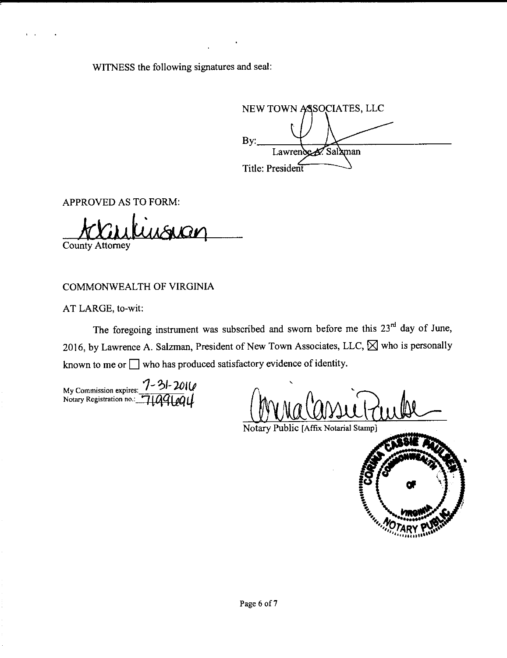WITNESS the following signatures and seal:

NEW TOWN ASSOCIATES, LLC By: Salaman Title: President

APPROVED AS TO FORM:

**County Attorney** 

COMMONWEALTH OF VIRGINIA

AT LARGE, to-wit:

The foregoing instrument was subscribed and sworn before me this  $23<sup>rd</sup>$  day of June, 2016, by Lawrence A. Salzman, President of New Town Associates, LLC,  $\boxtimes$  who is personally known to me or  $\Box$  who has produced satisfactory evidence of identity.

My Commission expires: *1-'?/-***]0l(J**  Notary Registration no.: 71991201

' Grida Cassie Puille

• **Contract Contract Contract Contract Contract Contract Contract Contract Contract Contract Contract Contract Co**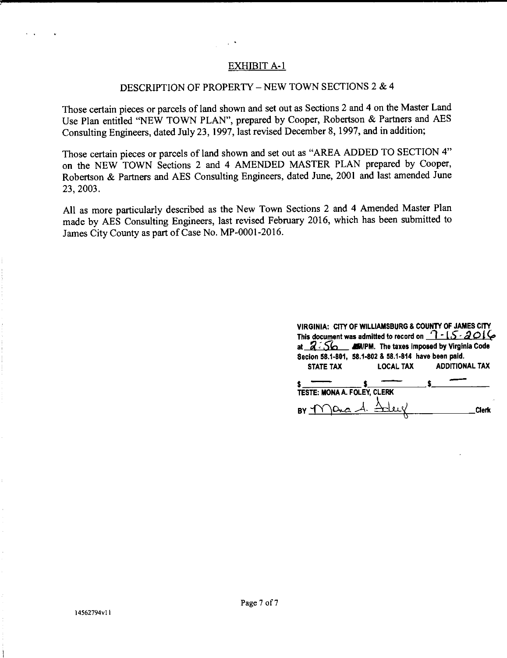# EXHIBIT A-1

# DESCRIPTION OF PROPERTY – NEW TOWN SECTIONS 2  $& 4$

Those certain pieces or parcels of land shown and set out as Sections 2 and 4 on the Master Land Use Plan entitled "NEW TOWN PLAN", prepared by Cooper, Robertson & Partners and AES Consulting Engineers, dated July 23, 1997, last revised December 8, 1997, and in addition;

Those certain pieces or parcels of land shown and set out as "AREA ADDED TO SECTION 4" on the NEW TOWN Sections 2 and 4 AMENDED MASTER PLAN prepared by Cooper, Robertson & Partners and AES Consulting Engineers, dated June, 2001 and last amended June 23, 2003.

All as more particularly described as the New Town Sections 2 and 4 Amended Master Plan made by AES Consulting Engineers, last revised February 2016, which has been submitted to James City County as part of Case No. MP-0001-2016.

| VIRGINIA: CITY OF WILLIAMSBURG & COUNTY OF JAMES CITY                                                                                                                  |                  |                       |
|------------------------------------------------------------------------------------------------------------------------------------------------------------------------|------------------|-----------------------|
| This document was admitted to record on $\bigcap -1$ 5 - 2016                                                                                                          |                  |                       |
| at $Z \tilde{\otimes}$ $\tilde{\mathsf{S}}$ $\tilde{\mathsf{S}}$ $\tilde{\mathsf{M}}$ $\tilde{\mathsf{M}}$ $\tilde{\mathsf{N}}$ PM. The taxes imposed by Virginia Code |                  |                       |
| Secion 58.1-801, 58.1-802 & 58.1-814 have been paid.                                                                                                                   |                  |                       |
| <b>STATE TAX</b>                                                                                                                                                       | <b>LOCAL TAX</b> | <b>ADDITIONAL TAX</b> |
|                                                                                                                                                                        |                  |                       |
| TESTE: MONA A. FOLEY, CLERK                                                                                                                                            |                  |                       |
| BY T                                                                                                                                                                   |                  | Clerk                 |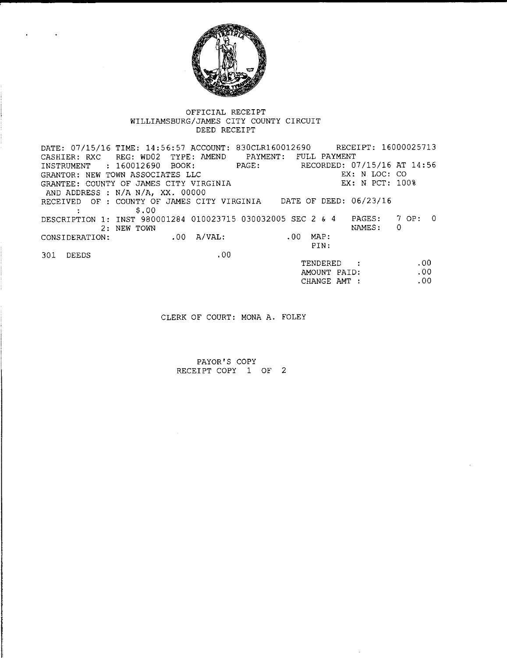

#### OFFICIAL RECEIPT WILLIAMSBURG/JAMES CITY COUNTY CIRCUIT DEED RECEIPT

DATE: 07/15/16 TIME: 14:56:57 ACCOUNT: 830CLR160012690 RECEIPT: 16000025713 CASHIER: RXC REG: WD02 TYPE: AMEND PAYMENT: FULL PAYMENT<br>INSTRUMENT : 160012690 BOOK: PAGE: RECORDED: 07/15/16 AT 14:56 INSTRUMENT : 160012690 BOOK: PAGE: GRANTOR: NEW TOWN ASSOCIATES LLC GRANTEE: COUNTY OF JAMES CITY VIRGINIA EX: N LOC: CO EX: N PCT: 100% AND ADDRESS : N/A N/A, XX. 00000 RECEIVED OF: COUNTY OF JAMES CITY VIRGINIA DATE OF DEED: 06/23/16 \$.00 DESCRIPTION 1: INST 980001284 010023715 030032005 SEC 2 & 4 2: NEW TOWN PAGES: 7 OP: 0 NAMES: 0 CONSIDERATION: 301 DEEDS .00 A/VAL: .00 .00 MAP: PIN: TENDERED .00 .00

CLERK OF COURT: MONA A. FOLEY

AMOUNT PAID: CHANGE AMT :

.00

PAYOR'S COPY RECEIPT COPY 1 OF 2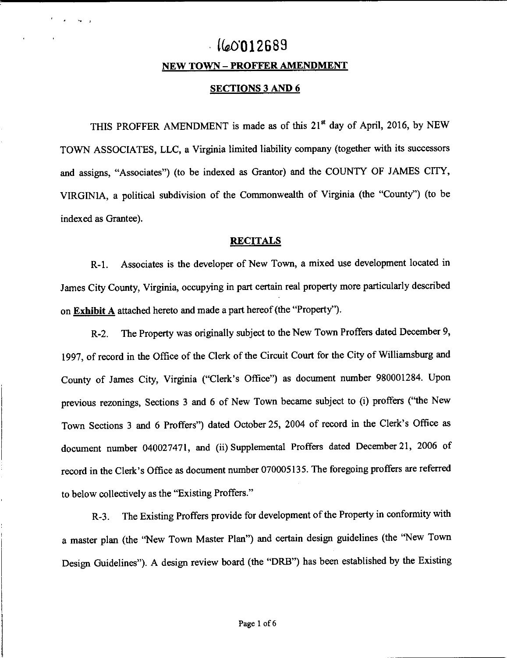# **Uao·o12689**

### **NEW TOWN - PROFFER AMENDMENT**

# **SECTIONS 3 AND 6**

THIS PROFFER AMENDMENT is made as of this 21<sup>st</sup> day of April, 2016, by NEW TOWN ASSOCIATES, LLC, a Virginia limited liability company (together with its successors and assigns, "Associates") (to be indexed as Grantor) and the COUNTY OF JAMES CITY, VIRGINIA, a political subdivision of the Commonwealth of Virginia (the "County") (to be indexed as Grantee).

## **RECITALS**

R-1. Associates is the developer of New Town, a mixed use development located in James City County, Virginia, occupying in part certain real property more particularly described on **Exhibit A** attached hereto and made a part hereof (the "Property").

R-2. The Property was originally subject to the New Town Proffers dated December 9, 1997, of record in the Office of the Clerk of the Circuit Court for the City of Williamsburg and County of James City, Virginia ("Clerk's Office") as document number 980001284. Upon previous rezonings, Sections 3 and 6 of New Town became subject to (i) proffers ("the New Town Sections 3 and 6 Proffers") dated October 25, 2004 of record in the Clerk's Office as document number 040027471, and (ii) Supplemental Proffers dated December 21, 2006 of record in the Clerk's Office as document number 070005135. The foregoing proffers are referred to below collectively as the "Existing Proffers."

R-3. The Existing Proffers provide for development of the Property in conformity with a master plan (the "New Town Master Plan") and certain design guidelines (the ''New Town Design Guidelines"). A design review board (the "DRB") has been established by the Existing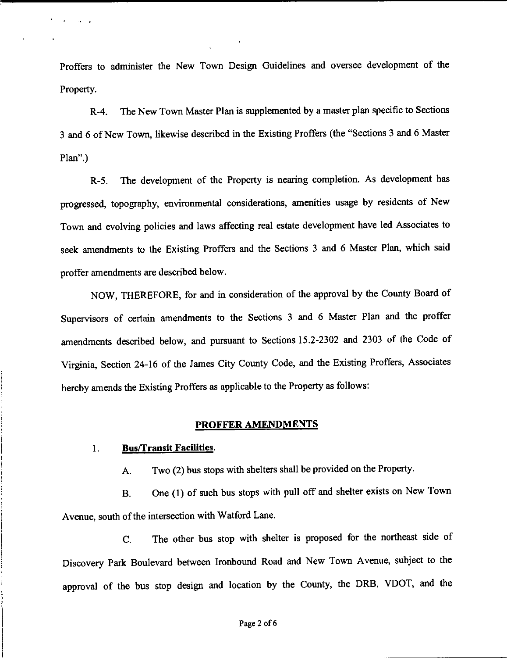Proffers to administer the New Town Design Guidelines and oversee development of the Property.

R-4. The New Town Master Plan is supplemented by a master plan specific to Sections 3 and 6 of New Town, likewise described in the Existing Proffers (the "Sections 3 and 6 Master Plan".)

R-5. The development of the Property is nearing completion. As development has progressed, topography, environmental considerations, amenities usage by residents of New Town and evolving policies and laws affecting real estate development have led Associates to seek amendments to the Existing Proffers and the Sections 3 and 6 Master Plan, which said proffer amendments are described below.

NOW, THEREFORE, for and in consideration of the approval by the County Board of Supervisors of certain amendments to the Sections 3 and 6 Master Plan and the proffer amendments described below, and pursuant to Sections 15.2-2302 and 2303 of the Code of Virginia, Section 24-16 of the James City County Code, and the Existing Proffers, Associates hereby amends the Existing Proffers as applicable to the Property as follows:

## **PROFFER AMENDMENTS**

## 1. **Bus/Transit Facilities.**

A. Two (2) bus stops with shelters shall be provided on the Property.

B. One (I} of such bus stops with pull off and shelter exists on New Town Avenue, south of the intersection with Watford Lane.

C. The other bus stop with shelter is proposed for the northeast side of Discovery Park Boulevard between Ironbound Road and New Town Avenue, subject to the approval of the bus stop design and location by the County, the DRB, VDOT, and the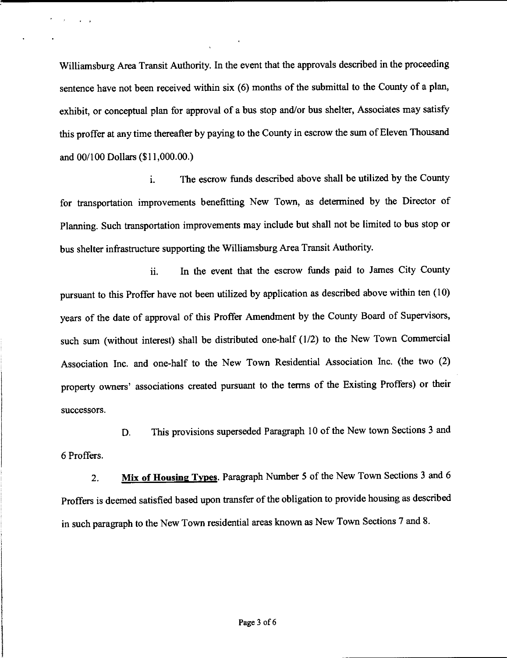Williamsburg Area Transit Authority. In the event that the approvals described in the proceeding sentence have not been received within six  $(6)$  months of the submittal to the County of a plan, exhibit, or conceptual plan for approval of a bus stop and/or bus shelter, Associates may satisfy this proffer at any time thereafter by paying to the County in escrow the sum of Eleven Thousand and 00/100 Dollars (\$11,000.00.)

1. The escrow funds described above shall be utilized by the County for transportation improvements benefitting New Town, as determined by the Director of Planning. Such transportation improvements may include but shall not be limited to bus stop or bus shelter infrastructure supporting the Williamsburg Area Transit Authority.

ii. In the event that the escrow funds paid to James City County pursuant to this Proffer have not been utilized by application as described above within ten (10) years of the date of approval of this Proffer Amendment by the County Board of Supervisors, such sum (without interest) shall be distributed one-half (1/2) to the New Town Commercial Association Inc. and one-half to the New Town Residential Association Inc. (the two (2) property owners' associations created pursuant to the terms of the Existing Proffers) or their successors.

6 Proffers. D. This provisions superseded Paragraph 10 of the New town Sections 3 and

2. **Mix of Housing Types.** Paragraph Number 5 of the New Town Sections 3 and 6 Proffers is deemed satisfied based upon transfer of the obligation to provide housing as described in such paragraph to the New Town residential areas known as New Town Sections 7 and 8.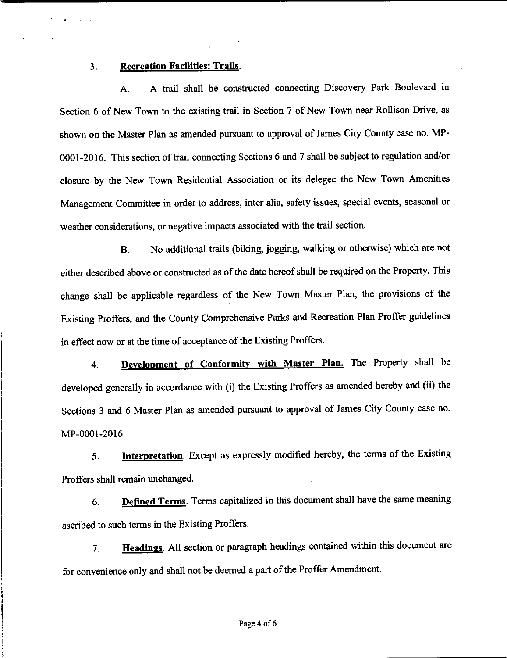### 3. **Recreation Facilities: Trails.**

A. A trail shall be constructed connecting Discovery Park Boulevard in Section 6 of New Town to the existing trail in Section 7 of New Town near Rollison Drive, as shown on the Master Plan as amended pursuant to approval of James City County case no. MP-0001-2016. This section of trail connecting Sections 6 and 7 shall be subject to regulation and/or closure by the New Town Residential Association or its delegee the New Town Amenities Management Committee in order to address, inter alia, safety issues, special events, seasonal or weather considerations, or negative impacts associated with the trail section.

B. No additional trails (biking, jogging, walking or otherwise) which are not either described above or constructed as of the date hereof shall be required on the Property. This change shall be applicable regardless of the New Town Master Plan, the provisions of the Existing Proffers, and the County Comprehensive Parks and Recreation Plan Proffer guidelines in effect now or at the time of acceptance of the Existing Proffers.

**4. Development of Conformity with Master Plan.** The Property shall be developed generally in accordance with (i) the Existing Proffers as amended hereby and (ii) the Sections 3 and 6 Master Plan as amended pursuant to approval of James City County case no. MP-0001-2016.

5. **Interpretation.** Except as expressly modified hereby, the terms of the Existing Proffers shall remain unchanged.

6. **Defined Terms.** Terms capitalized in this document shall have the same meaning ascribed to such terms in the Existing Proffers.

7. **Headings.** All section or paragraph headings contained within this document are for convenience only and shall not be deemed a part of the Proffer Amendment.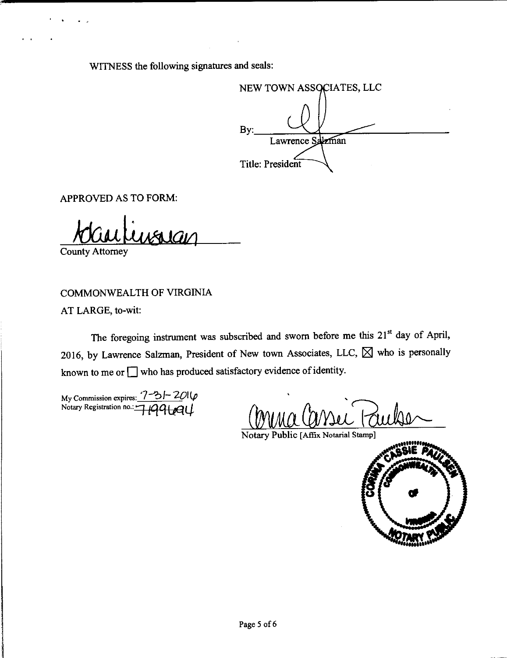WITNESS the following signatures and seals:

NEW TOWN ASSOCIATES, LLC By: Lawrence Salzman Title: President

APPROVED AS TO FORM:

County Attorney

COMMONWEALTH OF VIRGINIA

AT LARGE, to-wit:

The foregoing instrument was subscribed and sworn before me this 21<sup>st</sup> day of April, 2016, by Lawrence Salzman, President of New town Associates, LLC,  $\boxtimes$  who is personally known to me or  $\Box$  who has produced satisfactory evidence of identity.

My Commission expires:  $\frac{7-31-201}{p}$ Notary Registration no.:  $\frac{1}{1}$  $\frac{1}{99}$ 

MUA COVIN PULLE

Notary Public [Affix Notarial Stamp]

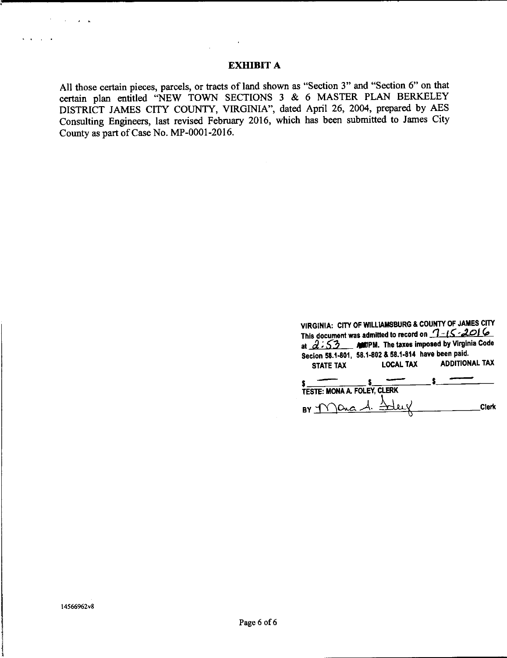# **EXHIBIT A**

All those certain pieces, parcels, or tracts of land shown as "Section 3" and "Section 6" on that certain plan entitled "NEW TOWN SECTIONS 3 & 6 MASTER PLAN BERKELEY DISTRICT JAMES CITY COUNTY, VIRGINIA", dated April 26, 2004, prepared by AES Consulting Engineers, last revised February 2016, which has been submitted to James City County as part of Case No. MP-0001-2016.

> **VIRGINIA:** CITY OF **WILLIAMSBURG** & COUNTY OF **JAMES** CITY This document was admitted to record on **1** ·· IS ·**2016** at  $2:53$  - AMITPM. The taxes imposed by Virginia Code Seclon 58.1-801, 58.1-802 & 58.1-814 have been paid. STATE TAX LOCAL TAX ADDITIONAL TAX  $$\begin{array}{c} \text{SIAIE IAX} \\ \text{S.} \end{array}$ \qquad $\begin{array}{c} \text{LUAL IAX} \\ \text{LUAL IAX} \end{array}$ \qquad $\begin{array}{c} \text{S.} \end{array}$ \qquad $\begin{array}{c} \text{S.} \end{array}$ \qquad $\begin{array}{c} \text{S.} \end{array}$ \qquad $\begin{array}{c} \text{S.} \end{array}$ \qquad $\begin{array}{c} \text{S.} \end{array}$ \qquad $\begin{array}{c} \text{S.} \end{array}$ \qquad $\begin{array}{c} \text{S.} \end{array}$ \qquad $\begin{array}{c} \text{$

TESTE: MONA A. FOLEY, CLERK  $BY$   $f$   $\Omega$   $\Omega$   $A$   $A$   $B$   $C$   $C$   $C$   $C$   $D$